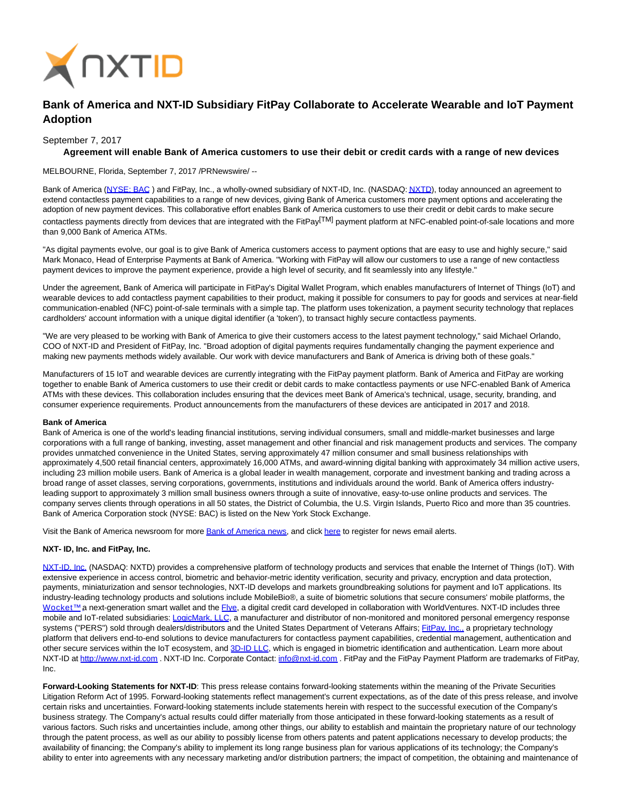

# **Bank of America and NXT-ID Subsidiary FitPay Collaborate to Accelerate Wearable and IoT Payment Adoption**

September 7, 2017

## **Agreement will enable Bank of America customers to use their debit or credit cards with a range of new devices**

### MELBOURNE, Florida, September 7, 2017 /PRNewswire/ --

Bank of America (NYSE: BAC) and FitPay, Inc., a wholly-owned subsidiary of NXT-ID, Inc. (NASDAQ[: NXTD\),](https://finance.yahoo.com/q?s=nxtd) today announced an agreement to extend contactless payment capabilities to a range of new devices, giving Bank of America customers more payment options and accelerating the adoption of new payment devices. This collaborative effort enables Bank of America customers to use their credit or debit cards to make secure contactless payments directly from devices that are integrated with the FitPay<sup>[TM]</sup> payment platform at NFC-enabled point-of-sale locations and more than 9,000 Bank of America ATMs.

"As digital payments evolve, our goal is to give Bank of America customers access to payment options that are easy to use and highly secure," said Mark Monaco, Head of Enterprise Payments at Bank of America. "Working with FitPay will allow our customers to use a range of new contactless payment devices to improve the payment experience, provide a high level of security, and fit seamlessly into any lifestyle."

Under the agreement, Bank of America will participate in FitPay's Digital Wallet Program, which enables manufacturers of Internet of Things (IoT) and wearable devices to add contactless payment capabilities to their product, making it possible for consumers to pay for goods and services at near-field communication-enabled (NFC) point-of-sale terminals with a simple tap. The platform uses tokenization, a payment security technology that replaces cardholders' account information with a unique digital identifier (a 'token'), to transact highly secure contactless payments.

"We are very pleased to be working with Bank of America to give their customers access to the latest payment technology," said Michael Orlando, COO of NXT-ID and President of FitPay, Inc. "Broad adoption of digital payments requires fundamentally changing the payment experience and making new payments methods widely available. Our work with device manufacturers and Bank of America is driving both of these goals."

Manufacturers of 15 IoT and wearable devices are currently integrating with the FitPay payment platform. Bank of America and FitPay are working together to enable Bank of America customers to use their credit or debit cards to make contactless payments or use NFC-enabled Bank of America ATMs with these devices. This collaboration includes ensuring that the devices meet Bank of America's technical, usage, security, branding, and consumer experience requirements. Product announcements from the manufacturers of these devices are anticipated in 2017 and 2018.

#### **Bank of America**

Bank of America is one of the world's leading financial institutions, serving individual consumers, small and middle-market businesses and large corporations with a full range of banking, investing, asset management and other financial and risk management products and services. The company provides unmatched convenience in the United States, serving approximately 47 million consumer and small business relationships with approximately 4,500 retail financial centers, approximately 16,000 ATMs, and award-winning digital banking with approximately 34 million active users, including 23 million mobile users. Bank of America is a global leader in wealth management, corporate and investment banking and trading across a broad range of asset classes, serving corporations, governments, institutions and individuals around the world. Bank of America offers industryleading support to approximately 3 million small business owners through a suite of innovative, easy-to-use online products and services. The company serves clients through operations in all 50 states, the District of Columbia, the U.S. Virgin Islands, Puerto Rico and more than 35 countries. Bank of America Corporation stock (NYSE: BAC) is listed on the New York Stock Exchange.

Visit the Bank of America newsroom for more [Bank of America news,](http://cts.businesswire.com/ct/CT?id=smartlink&url=http%3A%2F%2Fnewsroom.bankofamerica.com%2F&esheet=51597245&newsitemid=20170726006265&lan=en-US&anchor=Bank+of+America+news&index=1&md5=eb0c3d57ebb1734a605c5aaa56bea39c) and click [here t](http://cts.businesswire.com/ct/CT?id=smartlink&url=http%3A%2F%2Fnewsroom.bankofamerica.com%2Falerts&esheet=51597245&newsitemid=20170726006265&lan=en-US&anchor=here&index=2&md5=1dcc12423cf3926738110c8646d55eb9)o register for news email alerts.

## **NXT- ID, Inc. and FitPay, Inc.**

[NXT-ID, Inc. \(](http://www.nxt-id.com/)NASDAQ: NXTD) provides a comprehensive platform of technology products and services that enable the Internet of Things (IoT). With extensive experience in access control, biometric and behavior-metric identity verification, security and privacy, encryption and data protection, payments, miniaturization and sensor technologies, NXT-ID develops and markets groundbreaking solutions for payment and IoT applications. Its industry-leading technology products and solutions include MobileBio®, a suite of biometric solutions that secure consumers' mobile platforms, the Wocket™ a next-generation smart wallet and the [Flye,](https://www.flye.com/) a digital credit card developed in collaboration with WorldVentures. NXT-ID includes three mobile and IoT-related subsidiaries: [LogicMark, LLC,](https://www.logicmark.com/) a manufacturer and distributor of non-monitored and monitored personal emergency response systems ("PERS") sold through dealers/distributors and the United States Department of Veterans Affairs; [FitPay, Inc., a](http://www.fit-pay.com/) proprietary technology platform that delivers end-to-end solutions to device manufacturers for contactless payment capabilities, credential management, authentication and other secure services within the IoT ecosystem, and [3D-ID LLC,](http://nxt-id.com/products/3did/) which is engaged in biometric identification and authentication. Learn more about NXT-ID at [http://www.nxt-id.com .](http://www.nxt-id.com/) NXT-ID Inc. Corporate Contact: [info@nxt-id.com .](mailto:info@nxt-id.com) FitPay and the FitPay Payment Platform are trademarks of FitPay, Inc.

**Forward-Looking Statements for NXT-ID**: This press release contains forward-looking statements within the meaning of the Private Securities Litigation Reform Act of 1995. Forward-looking statements reflect management's current expectations, as of the date of this press release, and involve certain risks and uncertainties. Forward-looking statements include statements herein with respect to the successful execution of the Company's business strategy. The Company's actual results could differ materially from those anticipated in these forward-looking statements as a result of various factors. Such risks and uncertainties include, among other things, our ability to establish and maintain the proprietary nature of our technology through the patent process, as well as our ability to possibly license from others patents and patent applications necessary to develop products; the availability of financing; the Company's ability to implement its long range business plan for various applications of its technology; the Company's ability to enter into agreements with any necessary marketing and/or distribution partners; the impact of competition, the obtaining and maintenance of